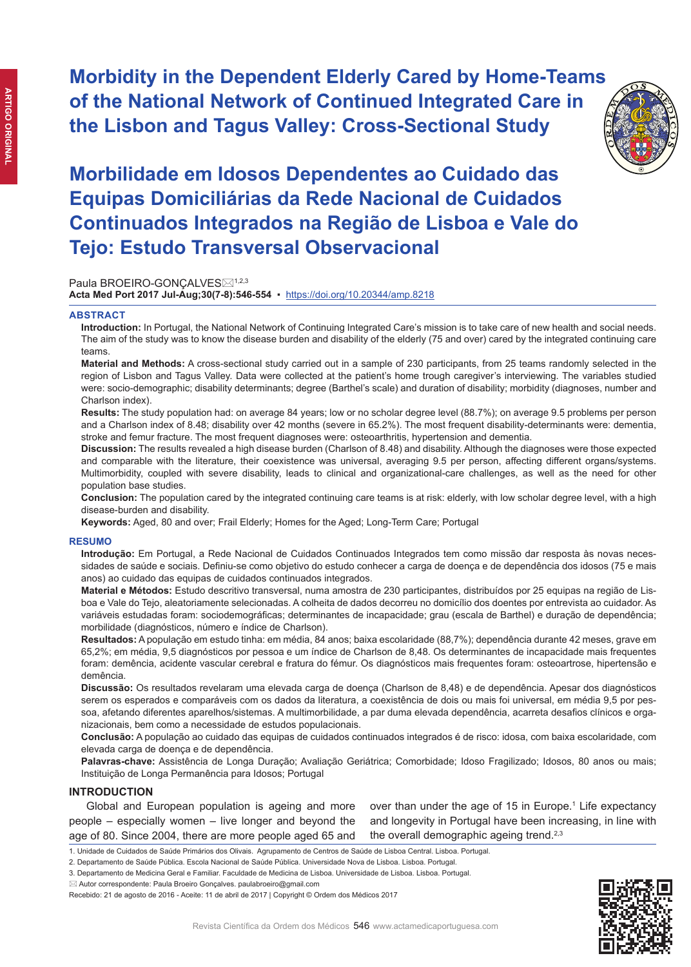**Morbidity in the Dependent Elderly Cared by Home-Teams of the National Network of Continued Integrated Care in the Lisbon and Tagus Valley: Cross-Sectional Study**



# **Morbilidade em Idosos Dependentes ao Cuidado das Equipas Domiciliárias da Rede Nacional de Cuidados Continuados Integrados na Região de Lisboa e Vale do Tejo: Estudo Transversal Observacional**

Paula BROEIRO-GONCALVES⊠<sup>1,2,3</sup>

**Acta Med Port 2017 Jul-Aug;30(7-8):546-554** ▪https://doi.org/10.20344/amp.8218

#### **ABSTRACT**

**Introduction:** In Portugal, the National Network of Continuing Integrated Care's mission is to take care of new health and social needs. The aim of the study was to know the disease burden and disability of the elderly (75 and over) cared by the integrated continuing care teams.

**Material and Methods:** A cross-sectional study carried out in a sample of 230 participants, from 25 teams randomly selected in the region of Lisbon and Tagus Valley. Data were collected at the patient's home trough caregiver's interviewing. The variables studied were: socio-demographic; disability determinants; degree (Barthel's scale) and duration of disability; morbidity (diagnoses, number and Charlson index).

**Results:** The study population had: on average 84 years; low or no scholar degree level (88.7%); on average 9.5 problems per person and a Charlson index of 8.48; disability over 42 months (severe in 65.2%). The most frequent disability-determinants were: dementia, stroke and femur fracture. The most frequent diagnoses were: osteoarthritis, hypertension and dementia.

**Discussion:** The results revealed a high disease burden (Charlson of 8.48) and disability. Although the diagnoses were those expected and comparable with the literature, their coexistence was universal, averaging 9.5 per person, affecting different organs/systems. Multimorbidity, coupled with severe disability, leads to clinical and organizational-care challenges, as well as the need for other population base studies.

**Conclusion:** The population cared by the integrated continuing care teams is at risk: elderly, with low scholar degree level, with a high disease-burden and disability.

**Keywords:** Aged, 80 and over; Frail Elderly; Homes for the Aged; Long-Term Care; Portugal

#### **RESUMO**

**Introdução:** Em Portugal, a Rede Nacional de Cuidados Continuados Integrados tem como missão dar resposta às novas necessidades de saúde e sociais. Definiu-se como objetivo do estudo conhecer a carga de doença e de dependência dos idosos (75 e mais anos) ao cuidado das equipas de cuidados continuados integrados.

**Material e Métodos:** Estudo descritivo transversal, numa amostra de 230 participantes, distribuídos por 25 equipas na região de Lisboa e Vale do Tejo, aleatoriamente selecionadas. A colheita de dados decorreu no domicílio dos doentes por entrevista ao cuidador. As variáveis estudadas foram: sociodemográficas; determinantes de incapacidade; grau (escala de Barthel) e duração de dependência; morbilidade (diagnósticos, número e índice de Charlson).

**Resultados:** A população em estudo tinha: em média, 84 anos; baixa escolaridade (88,7%); dependência durante 42 meses, grave em 65,2%; em média, 9,5 diagnósticos por pessoa e um índice de Charlson de 8,48. Os determinantes de incapacidade mais frequentes foram: demência, acidente vascular cerebral e fratura do fémur. Os diagnósticos mais frequentes foram: osteoartrose, hipertensão e demência.

**Discussão:** Os resultados revelaram uma elevada carga de doença (Charlson de 8,48) e de dependência. Apesar dos diagnósticos serem os esperados e comparáveis com os dados da literatura, a coexistência de dois ou mais foi universal, em média 9,5 por pessoa, afetando diferentes aparelhos/sistemas. A multimorbilidade, a par duma elevada dependência, acarreta desafios clínicos e organizacionais, bem como a necessidade de estudos populacionais.

**Conclusão:** A população ao cuidado das equipas de cuidados continuados integrados é de risco: idosa, com baixa escolaridade, com elevada carga de doença e de dependência.

**Palavras-chave:** Assistência de Longa Duração; Avaliação Geriátrica; Comorbidade; Idoso Fragilizado; Idosos, 80 anos ou mais; Instituição de Longa Permanência para Idosos; Portugal

# **INTRODUCTION**

Global and European population is ageing and more people – especially women – live longer and beyond the age of 80. Since 2004, there are more people aged 65 and over than under the age of 15 in Europe.<sup>1</sup> Life expectancy and longevity in Portugal have been increasing, in line with the overall demographic ageing trend.<sup>2,3</sup>



<sup>1.</sup> Unidade de Cuidados de Saúde Primários dos Olivais. Agrupamento de Centros de Saúde de Lisboa Central. Lisboa. Portugal.

<sup>2.</sup> Departamento de Saúde Pública. Escola Nacional de Saúde Pública. Universidade Nova de Lisboa. Lisboa. Portugal.

<sup>3.</sup> Departamento de Medicina Geral e Familiar. Faculdade de Medicina de Lisboa. Universidade de Lisboa. Lisboa. Portugal.

 $\boxtimes$  Autor correspondente: Paula Broeiro Goncalves. paulabroeiro@gmail.com

Recebido: 21 de agosto de 2016 - Aceite: 11 de abril de 2017 | Copyright © Ordem dos Médicos 2017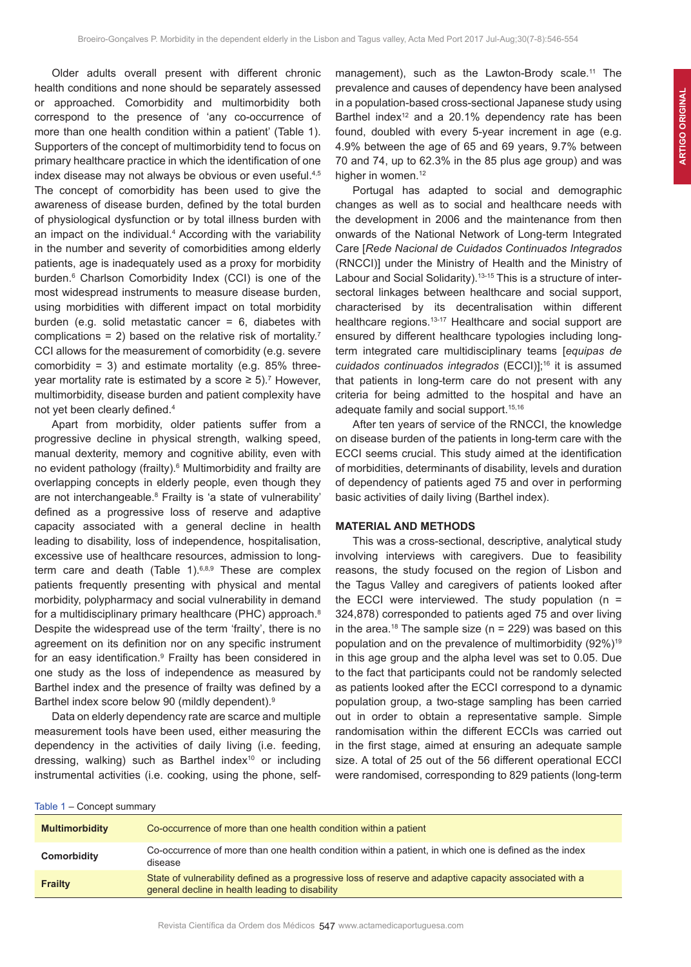Older adults overall present with different chronic health conditions and none should be separately assessed or approached. Comorbidity and multimorbidity both correspond to the presence of 'any co-occurrence of more than one health condition within a patient' (Table 1). Supporters of the concept of multimorbidity tend to focus on primary healthcare practice in which the identification of one index disease may not always be obvious or even useful.<sup>4,5</sup> The concept of comorbidity has been used to give the awareness of disease burden, defined by the total burden of physiological dysfunction or by total illness burden with an impact on the individual.<sup>4</sup> According with the variability in the number and severity of comorbidities among elderly patients, age is inadequately used as a proxy for morbidity burden.<sup>6</sup> Charlson Comorbidity Index (CCI) is one of the most widespread instruments to measure disease burden, using morbidities with different impact on total morbidity burden (e.g. solid metastatic cancer  $= 6$ , diabetes with complications = 2) based on the relative risk of mortality.<sup>7</sup> CCI allows for the measurement of comorbidity (e.g. severe comorbidity = 3) and estimate mortality (e.g.  $85\%$  threeyear mortality rate is estimated by a score  $\geq 5$ ).<sup>7</sup> However, multimorbidity, disease burden and patient complexity have not yet been clearly defined.<sup>4</sup>

Apart from morbidity, older patients suffer from a progressive decline in physical strength, walking speed, manual dexterity, memory and cognitive ability, even with no evident pathology (frailty).<sup>6</sup> Multimorbidity and frailty are overlapping concepts in elderly people, even though they are not interchangeable.<sup>8</sup> Frailty is 'a state of vulnerability' defined as a progressive loss of reserve and adaptive capacity associated with a general decline in health leading to disability, loss of independence, hospitalisation, excessive use of healthcare resources, admission to longterm care and death (Table 1). $6,8,9$  These are complex patients frequently presenting with physical and mental morbidity, polypharmacy and social vulnerability in demand for a multidisciplinary primary healthcare (PHC) approach.<sup>8</sup> Despite the widespread use of the term 'frailty', there is no agreement on its definition nor on any specific instrument for an easy identification.<sup>9</sup> Frailty has been considered in one study as the loss of independence as measured by Barthel index and the presence of frailty was defined by a Barthel index score below 90 (mildly dependent).9

Data on elderly dependency rate are scarce and multiple measurement tools have been used, either measuring the dependency in the activities of daily living (i.e. feeding, dressing, walking) such as Barthel index<sup>10</sup> or including instrumental activities (i.e. cooking, using the phone, self-

management), such as the Lawton-Brody scale.<sup>11</sup> The prevalence and causes of dependency have been analysed in a population-based cross-sectional Japanese study using Barthel index<sup>12</sup> and a 20.1% dependency rate has been found, doubled with every 5-year increment in age (e.g. 4.9% between the age of 65 and 69 years, 9.7% between 70 and 74, up to 62.3% in the 85 plus age group) and was higher in women.<sup>12</sup>

Portugal has adapted to social and demographic changes as well as to social and healthcare needs with the development in 2006 and the maintenance from then onwards of the National Network of Long-term Integrated Care [*Rede Nacional de Cuidados Continuados Integrados* (RNCCI)] under the Ministry of Health and the Ministry of Labour and Social Solidarity).<sup>13-15</sup> This is a structure of intersectoral linkages between healthcare and social support, characterised by its decentralisation within different healthcare regions.<sup>13-17</sup> Healthcare and social support are ensured by different healthcare typologies including longterm integrated care multidisciplinary teams [*equipas de cuidados continuados integrados* (ECCI)];<sup>16</sup> it is assumed that patients in long-term care do not present with any criteria for being admitted to the hospital and have an adequate family and social support.<sup>15,16</sup>

After ten years of service of the RNCCI, the knowledge on disease burden of the patients in long-term care with the ECCI seems crucial. This study aimed at the identification of morbidities, determinants of disability, levels and duration of dependency of patients aged 75 and over in performing basic activities of daily living (Barthel index).

# **MATERIAL AND METHODS**

This was a cross-sectional, descriptive, analytical study involving interviews with caregivers. Due to feasibility reasons, the study focused on the region of Lisbon and the Tagus Valley and caregivers of patients looked after the ECCI were interviewed. The study population  $(n =$ 324,878) corresponded to patients aged 75 and over living in the area.<sup>18</sup> The sample size ( $n = 229$ ) was based on this population and on the prevalence of multimorbidity (92%)<sup>19</sup> in this age group and the alpha level was set to 0.05. Due to the fact that participants could not be randomly selected as patients looked after the ECCI correspond to a dynamic population group, a two-stage sampling has been carried out in order to obtain a representative sample. Simple randomisation within the different ECCIs was carried out in the first stage, aimed at ensuring an adequate sample size. A total of 25 out of the 56 different operational ECCI were randomised, corresponding to 829 patients (long-term

|  |  |  | Table 1 – Concept summary |  |  |
|--|--|--|---------------------------|--|--|
|--|--|--|---------------------------|--|--|

| <b>Multimorbidity</b> | Co-occurrence of more than one health condition within a patient                                                                                           |
|-----------------------|------------------------------------------------------------------------------------------------------------------------------------------------------------|
| Comorbidity           | Co-occurrence of more than one health condition within a patient, in which one is defined as the index<br>disease                                          |
| <b>Frailty</b>        | State of vulnerability defined as a progressive loss of reserve and adaptive capacity associated with a<br>general decline in health leading to disability |
|                       |                                                                                                                                                            |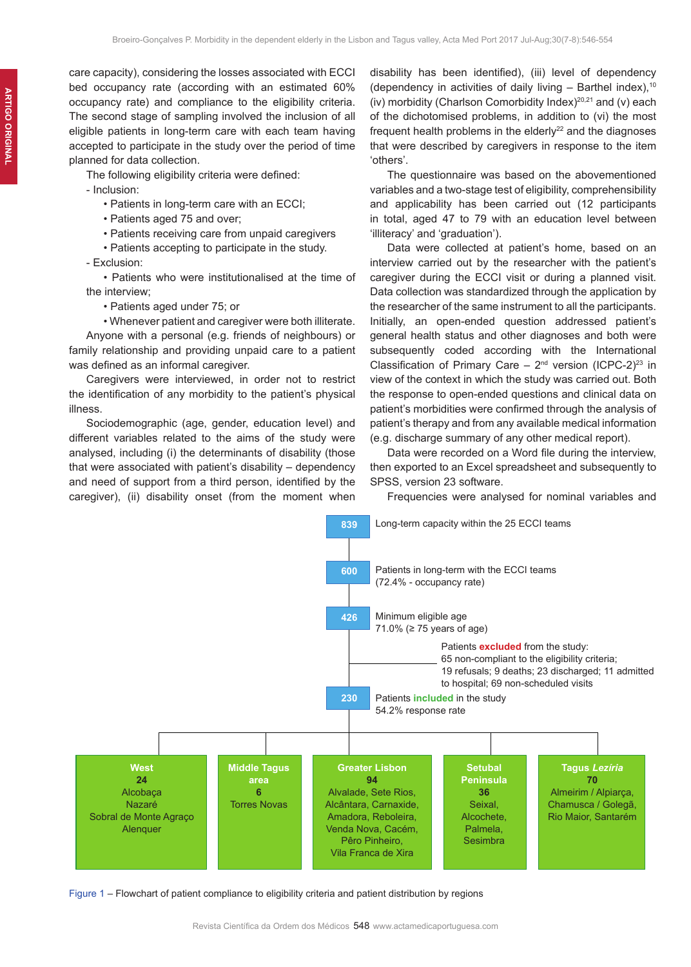care capacity), considering the losses associated with ECCI bed occupancy rate (according with an estimated 60% occupancy rate) and compliance to the eligibility criteria. The second stage of sampling involved the inclusion of all eligible patients in long-term care with each team having accepted to participate in the study over the period of time planned for data collection.

The following eligibility criteria were defined:

- Inclusion:
	- Patients in long-term care with an ECCI;
	- Patients aged 75 and over;
	- Patients receiving care from unpaid caregivers
	- Patients accepting to participate in the study.
- Exclusion:
- Patients who were institutionalised at the time of the interview;
	- Patients aged under 75; or
	- Whenever patient and caregiver were both illiterate.

Anyone with a personal (e.g. friends of neighbours) or family relationship and providing unpaid care to a patient was defined as an informal caregiver.

Caregivers were interviewed, in order not to restrict the identification of any morbidity to the patient's physical illness.

Sociodemographic (age, gender, education level) and different variables related to the aims of the study were analysed, including (i) the determinants of disability (those that were associated with patient's disability – dependency and need of support from a third person, identified by the caregiver), (ii) disability onset (from the moment when

disability has been identified), (iii) level of dependency (dependency in activities of daily living  $-$  Barthel index),<sup>10</sup> (iv) morbidity (Charlson Comorbidity Index) $20,21$  and (v) each of the dichotomised problems, in addition to (vi) the most frequent health problems in the elderly $^{22}$  and the diagnoses that were described by caregivers in response to the item 'others'.

The questionnaire was based on the abovementioned variables and a two-stage test of eligibility, comprehensibility and applicability has been carried out (12 participants in total, aged 47 to 79 with an education level between 'illiteracy' and 'graduation').

Data were collected at patient's home, based on an interview carried out by the researcher with the patient's caregiver during the ECCI visit or during a planned visit. Data collection was standardized through the application by the researcher of the same instrument to all the participants. Initially, an open-ended question addressed patient's general health status and other diagnoses and both were subsequently coded according with the International Classification of Primary Care  $-2^{nd}$  version (ICPC-2)<sup>23</sup> in view of the context in which the study was carried out. Both the response to open-ended questions and clinical data on patient's morbidities were confirmed through the analysis of patient's therapy and from any available medical information (e.g. discharge summary of any other medical report).

Data were recorded on a Word file during the interview, then exported to an Excel spreadsheet and subsequently to SPSS, version 23 software.

Frequencies were analysed for nominal variables and



Figure 1 – Flowchart of patient compliance to eligibility criteria and patient distribution by regions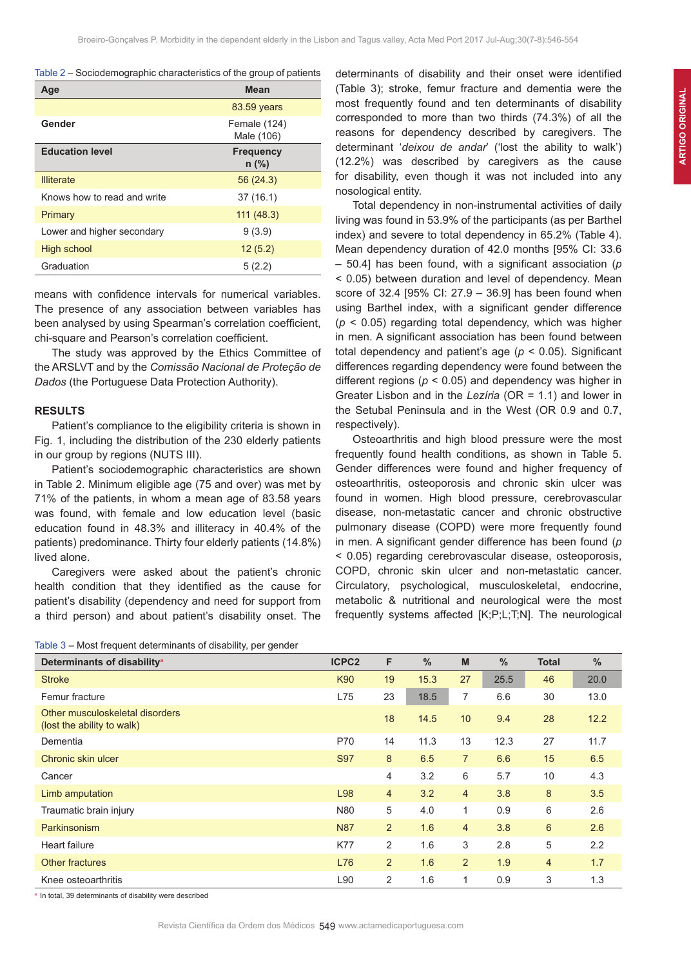| Table 2 – Sociodemographic characteristics of the group of patients |  |  |  |
|---------------------------------------------------------------------|--|--|--|
|---------------------------------------------------------------------|--|--|--|

| Age                         | <b>Mean</b>                 |
|-----------------------------|-----------------------------|
|                             | 83.59 years                 |
| Gender                      | Female (124)<br>Male (106)  |
| <b>Education level</b>      | <b>Frequency</b><br>$n$ (%) |
| <b>Illiterate</b>           | 56 (24.3)                   |
| Knows how to read and write | 37 (16.1)                   |
| Primary                     | 111(48.3)                   |
| Lower and higher secondary  | 9(3.9)                      |
| <b>High school</b>          | 12(5.2)                     |
| Graduation                  | 5(2.2)                      |

means with confidence intervals for numerical variables. The presence of any association between variables has been analysed by using Spearman's correlation coefficient, chi-square and Pearson's correlation coefficient.

The study was approved by the Ethics Committee of the ARSLVT and by the *Comissão Nacional de Proteção de Dados* (the Portuguese Data Protection Authority).

### **RESULTS**

Patient's compliance to the eligibility criteria is shown in Fig. 1, including the distribution of the 230 elderly patients in our group by regions (NUTS III).

Patient's sociodemographic characteristics are shown in Table 2. Minimum eligible age (75 and over) was met by 71% of the patients, in whom a mean age of 83.58 years was found, with female and low education level (basic education found in 48.3% and illiteracy in 40.4% of the patients) predominance. Thirty four elderly patients (14.8%) lived alone.

Caregivers were asked about the patient's chronic health condition that they identified as the cause for patient's disability (dependency and need for support from a third person) and about patient's disability onset. The

Table 3 – Most frequent determinants of disability, per gender

determinants of disability and their onset were identified (Table 3); stroke, femur fracture and dementia were the most frequently found and ten determinants of disability corresponded to more than two thirds (74.3%) of all the reasons for dependency described by caregivers. The determinant '*deixou de andar*' ('lost the ability to walk') (12.2%) was described by caregivers as the cause for disability, even though it was not included into any nosological entity.

Total dependency in non-instrumental activities of daily living was found in 53.9% of the participants (as per Barthel index) and severe to total dependency in 65.2% (Table 4). Mean dependency duration of 42.0 months [95% CI: 33.6 – 50.4] has been found, with a significant association (*p*  < 0.05) between duration and level of dependency. Mean score of 32.4 [95% CI: 27.9 – 36.9] has been found when using Barthel index, with a significant gender difference (*p* < 0.05) regarding total dependency, which was higher in men. A significant association has been found between total dependency and patient's age (*p* < 0.05). Significant differences regarding dependency were found between the different regions (*p* < 0.05) and dependency was higher in Greater Lisbon and in the *Lezíria* (OR = 1.1) and lower in the Setubal Peninsula and in the West (OR 0.9 and 0.7, respectively).

Osteoarthritis and high blood pressure were the most frequently found health conditions, as shown in Table 5. Gender differences were found and higher frequency of osteoarthritis, osteoporosis and chronic skin ulcer was found in women. High blood pressure, cerebrovascular disease, non-metastatic cancer and chronic obstructive pulmonary disease (COPD) were more frequently found in men. A significant gender difference has been found (*p*  < 0.05) regarding cerebrovascular disease, osteoporosis, COPD, chronic skin ulcer and non-metastatic cancer. Circulatory, psychological, musculoskeletal, endocrine, metabolic & nutritional and neurological were the most frequently systems affected [K;P;L;T;N]. The neurological

| Determinants of disability <sup>a</sup>                       | ICPC <sub>2</sub> |    | $\frac{9}{6}$ | M               | $\frac{9}{6}$ | Total | $\frac{9}{6}$   |
|---------------------------------------------------------------|-------------------|----|---------------|-----------------|---------------|-------|-----------------|
| <b>Stroke</b>                                                 | K90               | 19 | 15.3          | 27              | 25.5          | 46    | 20.0            |
| Femur fracture                                                | L75               | 23 | 18.5          |                 | 6.6           | 30    | 13 <sub>c</sub> |
| Other musculoskeletal disorders<br>(lost the ability to walk) |                   | 18 | 14.5          | 10 <sup>°</sup> | 9.4           | 28    | 12.2            |

| Femur fracture                                                | L75        | 23             | 18.5 | 7              | 6.6  | 30             | 13 <sub>c</sub> |
|---------------------------------------------------------------|------------|----------------|------|----------------|------|----------------|-----------------|
| Other musculoskeletal disorders<br>(lost the ability to walk) |            | 18             | 14.5 | 10             | 9.4  | 28             | 12.2            |
| Dementia                                                      | P70        | 14             | 11.3 | 13             | 12.3 | 27             | 11.7            |
| Chronic skin ulcer                                            | S97        | 8              | 6.5  | $\overline{7}$ | 6.6  | 15             | 6.5             |
| Cancer                                                        |            | 4              | 3.2  | 6              | 5.7  | 10             | 4.3             |
| Limb amputation                                               | L98        | $\overline{4}$ | 3.2  | $\overline{4}$ | 3.8  | 8              | 3.5             |
| Traumatic brain injury                                        | N80        | 5              | 4.0  | $\mathbf{1}$   | 0.9  | 6              | 2.6             |
| Parkinsonism                                                  | <b>N87</b> | $\overline{2}$ | 1.6  | $\overline{4}$ | 3.8  | 6              | 2.6             |
| Heart failure                                                 | <b>K77</b> | 2              | 1.6  | 3              | 2.8  | 5              | 2.2             |
| <b>Other fractures</b>                                        | L76        | $\overline{2}$ | 1.6  | $\overline{2}$ | 1.9  | $\overline{4}$ | 1.7             |
| Knee osteoarthritis                                           | L90        | 2              | 1.6  | 1              | 0.9  | 3              | 1.3             |

a In total, 39 determinants of disability were described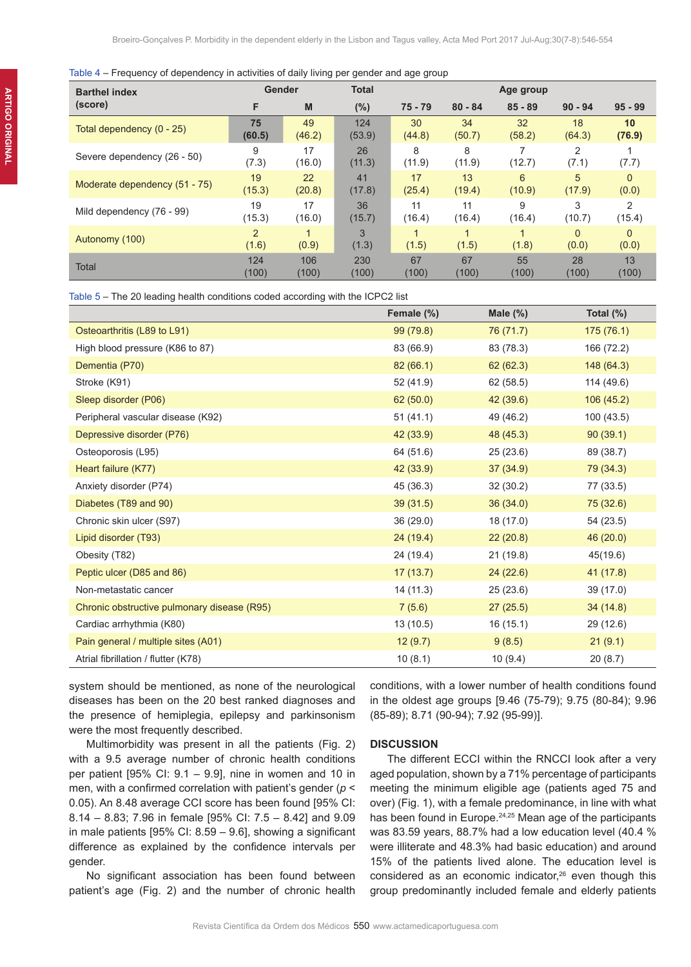#### Table 4 – Frequency of dependency in activities of daily living per gender and age group

| <b>Barthel index</b>          | Gender                 |              | <b>Total</b> |             | Age group               |           |                   |                   |
|-------------------------------|------------------------|--------------|--------------|-------------|-------------------------|-----------|-------------------|-------------------|
| (score)                       | F                      | M            | $(\%)$       | $75 - 79$   | $80 - 84$               | $85 - 89$ | $90 - 94$         | $95 - 99$         |
| Total dependency (0 - 25)     | 75                     | 49           | 124          | 30          | 34                      | 32        | 18                | 10                |
|                               | (60.5)                 | (46.2)       | (53.9)       | (44.8)      | (50.7)                  | (58.2)    | (64.3)            | (76.9)            |
| Severe dependency (26 - 50)   | 9<br>(7.3)             | 17<br>(16.0) | 26<br>(11.3) | 8<br>(11.9) | 8<br>(11.9)             | (12.7)    | 2<br>(7.1)        | (7.7)             |
| Moderate dependency (51 - 75) | 19                     | 22           | 41           | 17          | 13                      | 6         | 5                 | $\Omega$          |
|                               | (15.3)                 | (20.8)       | (17.8)       | (25.4)      | (19.4)                  | (10.9)    | (17.9)            | (0.0)             |
| Mild dependency (76 - 99)     | 19                     | 17           | 36           | 11          | 11                      | 9         | 3                 | 2                 |
|                               | (15.3)                 | (16.0)       | (15.7)       | (16.4)      | (16.4)                  | (16.4)    | (10.7)            | (15.4)            |
| Autonomy (100)                | $\mathcal{P}$<br>(1.6) | (0.9)        | 3<br>(1.3)   | 1<br>(1.5)  | $\overline{A}$<br>(1.5) | (1.8)     | $\Omega$<br>(0.0) | $\Omega$<br>(0.0) |
| <b>Total</b>                  | 124                    | 106          | 230          | 67          | 67                      | 55        | 28                | 13                |
|                               | (100)                  | (100)        | (100)        | (100)       | (100)                   | (100)     | (100)             | (100)             |

Table 5 – The 20 leading health conditions coded according with the ICPC2 list

|                                             | Female (%) | Male $(\%)$ | Total $(\%)$ |
|---------------------------------------------|------------|-------------|--------------|
| Osteoarthritis (L89 to L91)                 | 99 (79.8)  | 76 (71.7)   | 175(76.1)    |
| High blood pressure (K86 to 87)             | 83 (66.9)  | 83 (78.3)   | 166 (72.2)   |
| Dementia (P70)                              | 82(66.1)   | 62(62.3)    | 148 (64.3)   |
| Stroke (K91)                                | 52 (41.9)  | 62 (58.5)   | 114 (49.6)   |
| Sleep disorder (P06)                        | 62(50.0)   | 42 (39.6)   | 106(45.2)    |
| Peripheral vascular disease (K92)           | 51(41.1)   | 49 (46.2)   | 100 (43.5)   |
| Depressive disorder (P76)                   | 42 (33.9)  | 48 (45.3)   | 90(39.1)     |
| Osteoporosis (L95)                          | 64 (51.6)  | 25(23.6)    | 89 (38.7)    |
| Heart failure (K77)                         | 42 (33.9)  | 37(34.9)    | 79 (34.3)    |
| Anxiety disorder (P74)                      | 45 (36.3)  | 32 (30.2)   | 77 (33.5)    |
| Diabetes (T89 and 90)                       | 39(31.5)   | 36(34.0)    | 75 (32.6)    |
| Chronic skin ulcer (S97)                    | 36 (29.0)  | 18 (17.0)   | 54 (23.5)    |
| Lipid disorder (T93)                        | 24(19.4)   | 22(20.8)    | 46 (20.0)    |
| Obesity (T82)                               | 24 (19.4)  | 21 (19.8)   | 45(19.6)     |
| Peptic ulcer (D85 and 86)                   | 17(13.7)   | 24 (22.6)   | 41 (17.8)    |
| Non-metastatic cancer                       | 14 (11.3)  | 25(23.6)    | 39 (17.0)    |
| Chronic obstructive pulmonary disease (R95) | 7(5.6)     | 27(25.5)    | 34 (14.8)    |
| Cardiac arrhythmia (K80)                    | 13 (10.5)  | 16 (15.1)   | 29 (12.6)    |
| Pain general / multiple sites (A01)         | 12(9.7)    | 9(8.5)      | 21(9.1)      |
| Atrial fibrillation / flutter (K78)         | 10(8.1)    | 10(9.4)     | 20(8.7)      |

system should be mentioned, as none of the neurological diseases has been on the 20 best ranked diagnoses and the presence of hemiplegia, epilepsy and parkinsonism were the most frequently described.

Multimorbidity was present in all the patients (Fig. 2) with a 9.5 average number of chronic health conditions per patient [95% CI: 9.1 – 9.9], nine in women and 10 in men, with a confirmed correlation with patient's gender (*p* < 0.05). An 8.48 average CCI score has been found [95% CI: 8.14 – 8.83; 7.96 in female [95% CI: 7.5 – 8.42] and 9.09 in male patients [95% CI: 8.59 – 9.6], showing a significant difference as explained by the confidence intervals per gender.

No significant association has been found between patient's age (Fig. 2) and the number of chronic health conditions, with a lower number of health conditions found in the oldest age groups [9.46 (75-79); 9.75 (80-84); 9.96 (85-89); 8.71 (90-94); 7.92 (95-99)].

#### **DISCUSSION**

The different ECCI within the RNCCI look after a very aged population, shown by a 71% percentage of participants meeting the minimum eligible age (patients aged 75 and over) (Fig. 1), with a female predominance, in line with what has been found in Europe.<sup>24,25</sup> Mean age of the participants was 83.59 years, 88.7% had a low education level (40.4 % were illiterate and 48.3% had basic education) and around 15% of the patients lived alone. The education level is considered as an economic indicator,<sup>26</sup> even though this group predominantly included female and elderly patients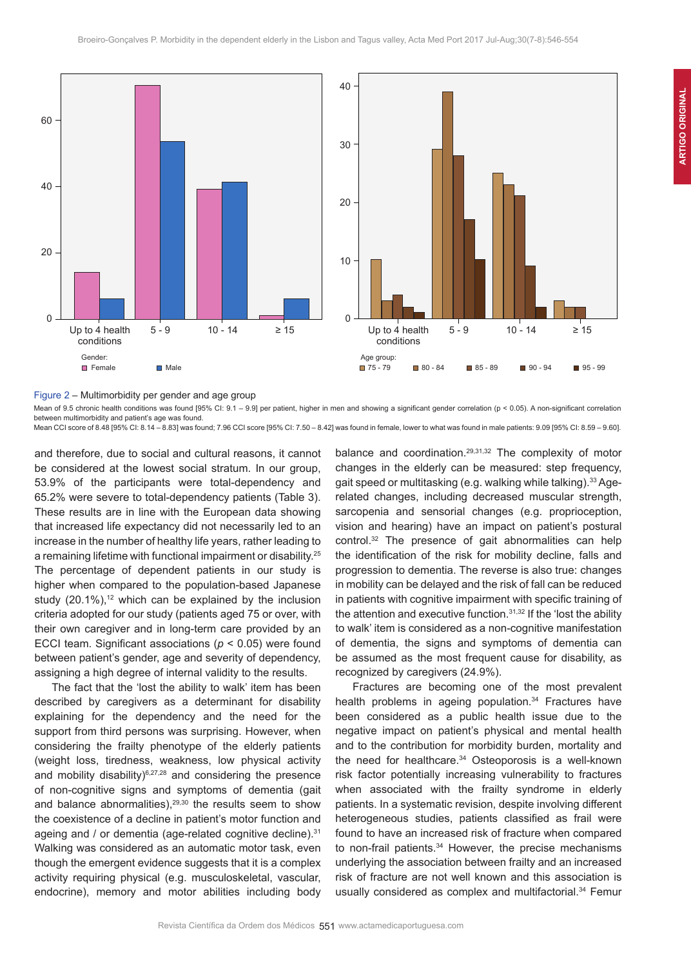

Figure 2 – Multimorbidity per gender and age group

Mean of 9.5 chronic health conditions was found [95% CI: 9.1 – 9.9] per patient, higher in men and showing a significant gender correlation (p < 0.05). A non-significant correlation between multimorbidity and patient's age was found.

Mean CCI score of 8.48 [95% CI: 8.14 – 8.83] was found; 7.96 CCI score [95% CI: 7.50 – 8.42] was found in female, lower to what was found in male patients: 9.09 [95% CI: 8.59 – 9.60].

and therefore, due to social and cultural reasons, it cannot be considered at the lowest social stratum. In our group, 53.9% of the participants were total-dependency and 65.2% were severe to total-dependency patients (Table 3). These results are in line with the European data showing that increased life expectancy did not necessarily led to an increase in the number of healthy life years, rather leading to a remaining lifetime with functional impairment or disability.<sup>25</sup> The percentage of dependent patients in our study is higher when compared to the population-based Japanese study  $(20.1\%)$ ,<sup>12</sup> which can be explained by the inclusion criteria adopted for our study (patients aged 75 or over, with their own caregiver and in long-term care provided by an ECCI team. Significant associations (*p* < 0.05) were found between patient's gender, age and severity of dependency, assigning a high degree of internal validity to the results.

The fact that the 'lost the ability to walk' item has been described by caregivers as a determinant for disability explaining for the dependency and the need for the support from third persons was surprising. However, when considering the frailty phenotype of the elderly patients (weight loss, tiredness, weakness, low physical activity and mobility disability) $6,27,28$  and considering the presence of non-cognitive signs and symptoms of dementia (gait and balance abnormalities), $29,30$  the results seem to show the coexistence of a decline in patient's motor function and ageing and / or dementia (age-related cognitive decline).<sup>31</sup> Walking was considered as an automatic motor task, even though the emergent evidence suggests that it is a complex activity requiring physical (e.g. musculoskeletal, vascular, endocrine), memory and motor abilities including body

balance and coordination.29,31,32 The complexity of motor changes in the elderly can be measured: step frequency, gait speed or multitasking (e.g. walking while talking).33 Agerelated changes, including decreased muscular strength, sarcopenia and sensorial changes (e.g. proprioception, vision and hearing) have an impact on patient's postural control.<sup>32</sup> The presence of gait abnormalities can help the identification of the risk for mobility decline, falls and progression to dementia. The reverse is also true: changes in mobility can be delayed and the risk of fall can be reduced in patients with cognitive impairment with specific training of the attention and executive function.<sup>31,32</sup> If the 'lost the ability to walk' item is considered as a non-cognitive manifestation of dementia, the signs and symptoms of dementia can be assumed as the most frequent cause for disability, as recognized by caregivers (24.9%).

Fractures are becoming one of the most prevalent health problems in ageing population.<sup>34</sup> Fractures have been considered as a public health issue due to the negative impact on patient's physical and mental health and to the contribution for morbidity burden, mortality and the need for healthcare.<sup>34</sup> Osteoporosis is a well-known risk factor potentially increasing vulnerability to fractures when associated with the frailty syndrome in elderly patients. In a systematic revision, despite involving different heterogeneous studies, patients classified as frail were found to have an increased risk of fracture when compared to non-frail patients.<sup>34</sup> However, the precise mechanisms underlying the association between frailty and an increased risk of fracture are not well known and this association is usually considered as complex and multifactorial.<sup>34</sup> Femur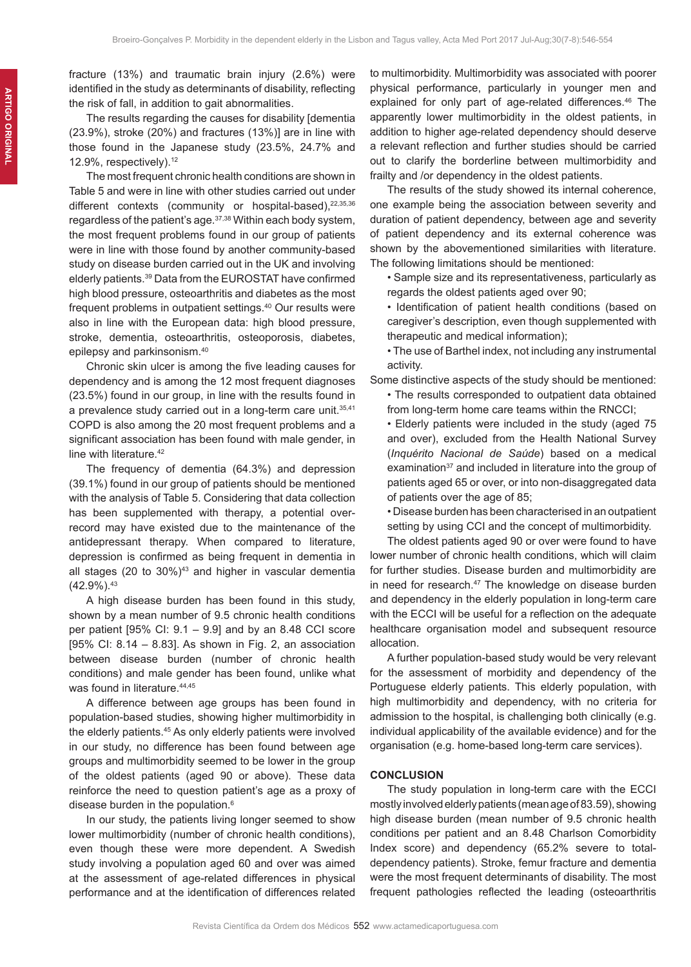The results regarding the causes for disability [dementia (23.9%), stroke (20%) and fractures (13%)] are in line with those found in the Japanese study (23.5%, 24.7% and 12.9%, respectively).<sup>12</sup>

The most frequent chronic health conditions are shown in Table 5 and were in line with other studies carried out under different contexts (community or hospital-based), 22,35,36 regardless of the patient's age.<sup>37,38</sup> Within each body system, the most frequent problems found in our group of patients were in line with those found by another community-based study on disease burden carried out in the UK and involving elderly patients.39 Data from the EUROSTAT have confirmed high blood pressure, osteoarthritis and diabetes as the most frequent problems in outpatient settings.40 Our results were also in line with the European data: high blood pressure, stroke, dementia, osteoarthritis, osteoporosis, diabetes, epilepsy and parkinsonism.40

Chronic skin ulcer is among the five leading causes for dependency and is among the 12 most frequent diagnoses (23.5%) found in our group, in line with the results found in a prevalence study carried out in a long-term care unit.<sup>35,41</sup> COPD is also among the 20 most frequent problems and a significant association has been found with male gender, in line with literature.<sup>42</sup>

The frequency of dementia (64.3%) and depression (39.1%) found in our group of patients should be mentioned with the analysis of Table 5. Considering that data collection has been supplemented with therapy, a potential overrecord may have existed due to the maintenance of the antidepressant therapy. When compared to literature, depression is confirmed as being frequent in dementia in all stages (20 to  $30\%$ )<sup>43</sup> and higher in vascular dementia  $(42.9\%)$ .  $43$ 

A high disease burden has been found in this study, shown by a mean number of 9.5 chronic health conditions per patient [95% CI: 9.1 – 9.9] and by an 8.48 CCI score [95% CI: 8.14 – 8.83]. As shown in Fig. 2, an association between disease burden (number of chronic health conditions) and male gender has been found, unlike what was found in literature. 44,45

A difference between age groups has been found in population-based studies, showing higher multimorbidity in the elderly patients.<sup>45</sup> As only elderly patients were involved in our study, no difference has been found between age groups and multimorbidity seemed to be lower in the group of the oldest patients (aged 90 or above). These data reinforce the need to question patient's age as a proxy of disease burden in the population.<sup>6</sup>

In our study, the patients living longer seemed to show lower multimorbidity (number of chronic health conditions), even though these were more dependent. A Swedish study involving a population aged 60 and over was aimed at the assessment of age-related differences in physical performance and at the identification of differences related

to multimorbidity. Multimorbidity was associated with poorer physical performance, particularly in younger men and explained for only part of age-related differences.<sup>46</sup> The apparently lower multimorbidity in the oldest patients, in addition to higher age-related dependency should deserve a relevant reflection and further studies should be carried out to clarify the borderline between multimorbidity and frailty and /or dependency in the oldest patients.

The results of the study showed its internal coherence, one example being the association between severity and duration of patient dependency, between age and severity of patient dependency and its external coherence was shown by the abovementioned similarities with literature. The following limitations should be mentioned:

- Sample size and its representativeness, particularly as regards the oldest patients aged over 90;
- Identification of patient health conditions (based on caregiver's description, even though supplemented with therapeutic and medical information);
- The use of Barthel index, not including any instrumental activity.
- Some distinctive aspects of the study should be mentioned:
	- The results corresponded to outpatient data obtained from long-term home care teams within the RNCCI;
	- Elderly patients were included in the study (aged 75 and over), excluded from the Health National Survey (*Inquérito Nacional de Saúde*) based on a medical examination<sup>37</sup> and included in literature into the group of patients aged 65 or over, or into non-disaggregated data of patients over the age of 85;
	- Disease burden has been characterised in an outpatient setting by using CCI and the concept of multimorbidity.

The oldest patients aged 90 or over were found to have lower number of chronic health conditions, which will claim for further studies. Disease burden and multimorbidity are in need for research.<sup>47</sup> The knowledge on disease burden and dependency in the elderly population in long-term care with the ECCI will be useful for a reflection on the adequate healthcare organisation model and subsequent resource allocation.

A further population-based study would be very relevant for the assessment of morbidity and dependency of the Portuguese elderly patients. This elderly population, with high multimorbidity and dependency, with no criteria for admission to the hospital, is challenging both clinically (e.g. individual applicability of the available evidence) and for the organisation (e.g. home-based long-term care services).

#### **CONCLUSION**

The study population in long-term care with the ECCI mostly involved elderly patients (mean age of 83.59), showing high disease burden (mean number of 9.5 chronic health conditions per patient and an 8.48 Charlson Comorbidity Index score) and dependency (65.2% severe to totaldependency patients). Stroke, femur fracture and dementia were the most frequent determinants of disability. The most frequent pathologies reflected the leading (osteoarthritis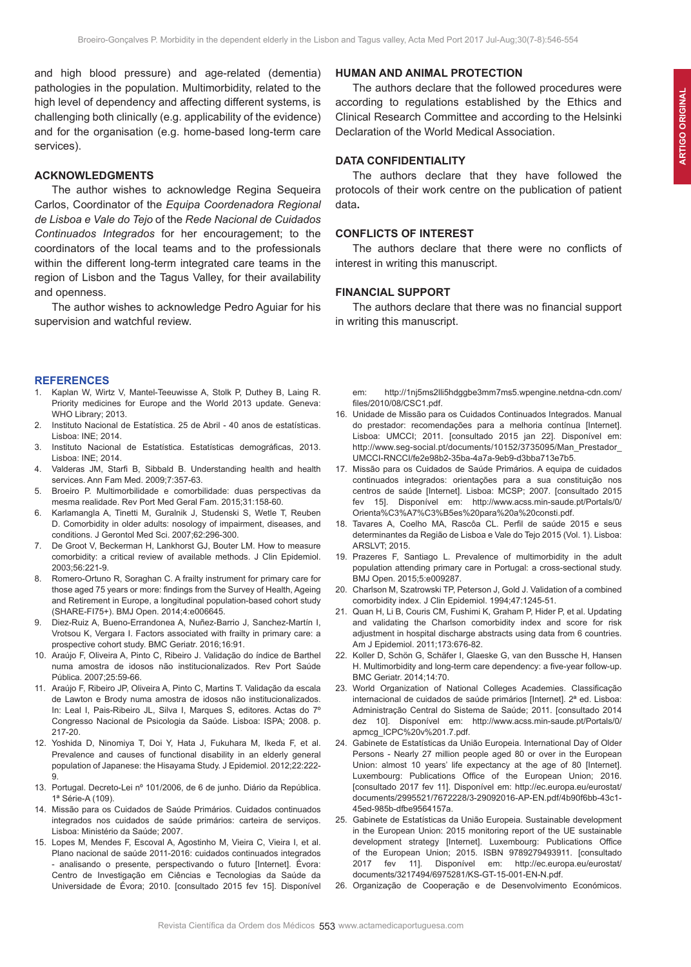and high blood pressure) and age-related (dementia) pathologies in the population. Multimorbidity, related to the high level of dependency and affecting different systems, is challenging both clinically (e.g. applicability of the evidence) and for the organisation (e.g. home-based long-term care services).

### **ACKNOWLEDGMENTS**

The author wishes to acknowledge Regina Sequeira Carlos, Coordinator of the *Equipa Coordenadora Regional de Lisboa e Vale do Tejo* of the *Rede Nacional de Cuidados Continuados Integrados* for her encouragement; to the coordinators of the local teams and to the professionals within the different long-term integrated care teams in the region of Lisbon and the Tagus Valley, for their availability and openness.

The author wishes to acknowledge Pedro Aguiar for his supervision and watchful review.

#### **REFERENCES**

- Kaplan W, Wirtz V, Mantel-Teeuwisse A, Stolk P, Duthey B, Laing R. Priority medicines for Europe and the World 2013 update. Geneva: WHO Library; 2013.
- 2. Instituto Nacional de Estatística. 25 de Abril 40 anos de estatísticas. Lisboa: INE; 2014.
- 3. Instituto Nacional de Estatística. Estatísticas demográficas, 2013. Lisboa: INE; 2014.
- 4. Valderas JM, Starfi B, Sibbald B. Understanding health and health services. Ann Fam Med. 2009;7:357-63.
- 5. Broeiro P. Multimorbilidade e comorbilidade: duas perspectivas da mesma realidade. Rev Port Med Geral Fam. 2015;31:158-60.
- 6. Karlamangla A, Tinetti M, Guralnik J, Studenski S, Wetle T, Reuben D. Comorbidity in older adults: nosology of impairment, diseases, and conditions. J Gerontol Med Sci. 2007;62:296-300.
- 7. De Groot V, Beckerman H, Lankhorst GJ, Bouter LM. How to measure comorbidity: a critical review of available methods. J Clin Epidemiol. 2003;56:221-9.
- 8. Romero-Ortuno R, Soraghan C. A frailty instrument for primary care for those aged 75 years or more: findings from the Survey of Health, Ageing and Retirement in Europe, a longitudinal population-based cohort study (SHARE-FI75+). BMJ Open. 2014;4:e006645.
- 9. Diez-Ruiz A, Bueno-Errandonea A, Nuñez-Barrio J, Sanchez-Martín I, Vrotsou K, Vergara I. Factors associated with frailty in primary care: a prospective cohort study. BMC Geriatr. 2016;16:91.
- 10. Araújo F, Oliveira A, Pinto C, Ribeiro J. Validação do índice de Barthel numa amostra de idosos não institucionalizados. Rev Port Saúde Pública. 2007;25:59-66.
- 11. Araújo F, Ribeiro JP, Oliveira A, Pinto C, Martins T. Validação da escala de Lawton e Brody numa amostra de idosos não institucionalizados. In: Leal I, Pais-Ribeiro JL, Silva I, Marques S, editores. Actas do 7º Congresso Nacional de Psicologia da Saúde. Lisboa: ISPA; 2008. p. 217-20.
- 12. Yoshida D, Ninomiya T, Doi Y, Hata J, Fukuhara M, Ikeda F, et al. Prevalence and causes of functional disability in an elderly general population of Japanese: the Hisayama Study. J Epidemiol. 2012;22:222- 9.
- 13. Portugal. Decreto-Lei nº 101/2006, de 6 de junho. Diário da República. 1ª Série-A (109).
- 14. Missão para os Cuidados de Saúde Primários. Cuidados continuados integrados nos cuidados de saúde primários: carteira de serviços. Lisboa: Ministério da Saúde; 2007.
- 15. Lopes M, Mendes F, Escoval A, Agostinho M, Vieira C, Vieira I, et al. Plano nacional de saúde 2011-2016: cuidados continuados integrados - analisando o presente, perspectivando o futuro [Internet]. Évora: Centro de Investigação em Ciências e Tecnologias da Saúde da Universidade de Évora; 2010. [consultado 2015 fev 15]. Disponível

# **HUMAN AND ANIMAL PROTECTION**

The authors declare that the followed procedures were according to regulations established by the Ethics and Clinical Research Committee and according to the Helsinki Declaration of the World Medical Association.

# **DATA CONFIDENTIALITY**

The authors declare that they have followed the protocols of their work centre on the publication of patient data**.**

# **CONFLICTS OF INTEREST**

The authors declare that there were no conflicts of interest in writing this manuscript.

#### **FINANCIAL SUPPORT**

The authors declare that there was no financial support in writing this manuscript.

em: http://1nj5ms2lli5hdggbe3mm7ms5.wpengine.netdna-cdn.com/ files/2010/08/CSC1.pdf.

- 16. Unidade de Missão para os Cuidados Continuados Integrados. Manual do prestador: recomendações para a melhoria contínua [Internet]. Lisboa: UMCCI; 2011. [consultado 2015 jan 22]. Disponível em: http://www.seg-social.pt/documents/10152/3735095/Man\_Prestador\_ UMCCI-RNCCI/fe2e98b2-35ba-4a7a-9eb9-d3bba713e7b5.
- 17. Missão para os Cuidados de Saúde Primários. A equipa de cuidados continuados integrados: orientações para a sua constituição nos centros de saúde [Internet]. Lisboa: MCSP; 2007. [consultado 2015 fev 15]. Disponível em: http://www.acss.min-saude.pt/Portals/0/ Orienta%C3%A7%C3%B5es%20para%20a%20consti.pdf.
- 18. Tavares A, Coelho MA, Rascôa CL. Perfil de saúde 2015 e seus determinantes da Região de Lisboa e Vale do Tejo 2015 (Vol. 1). Lisboa: ARSLVT; 2015.
- 19. Prazeres F, Santiago L. Prevalence of multimorbidity in the adult population attending primary care in Portugal: a cross-sectional study. BMJ Open. 2015;5:e009287.
- 20. Charlson M, Szatrowski TP, Peterson J, Gold J. Validation of a combined comorbidity index. J Clin Epidemiol. 1994;47:1245-51.
- 21. Quan H, Li B, Couris CM, Fushimi K, Graham P, Hider P, et al. Updating and validating the Charlson comorbidity index and score for risk adjustment in hospital discharge abstracts using data from 6 countries. Am J Epidemiol. 2011;173:676-82.
- 22. Koller D, Schön G, Schäfer I, Glaeske G, van den Bussche H, Hansen H. Multimorbidity and long-term care dependency: a five-year follow-up. BMC Geriatr. 2014;14:70.
- 23. World Organization of National Colleges Academies. Classificação internacional de cuidados de saúde primários [Internet]. 2ª ed. Lisboa: Administração Central do Sistema de Saúde; 2011. [consultado 2014 dez 10]. Disponível em: http://www.acss.min-saude.pt/Portals/0/ apmcg\_ICPC%20v%201.7.pdf.
- 24. Gabinete de Estatísticas da União Europeia. International Day of Older Persons - Nearly 27 million people aged 80 or over in the European Union: almost 10 years' life expectancy at the age of 80 [Internet]. Luxembourg: Publications Office of the European Union; 2016. [consultado 2017 fev 11]. Disponível em: http://ec.europa.eu/eurostat/ documents/2995521/7672228/3-29092016-AP-EN.pdf/4b90f6bb-43c1- 45ed-985b-dfbe9564157a.
- 25. Gabinete de Estatísticas da União Europeia. Sustainable development in the European Union: 2015 monitoring report of the UE sustainable development strategy [Internet]. Luxembourg: Publications Office of the European Union; 2015. ISBN 9789279493911. [consultado 2017 fev 11]. Disponível em: http://ec.europa.eu/eurostat/ documents/3217494/6975281/KS-GT-15-001-EN-N.pdf.
- 26. Organização de Cooperação e de Desenvolvimento Económicos.